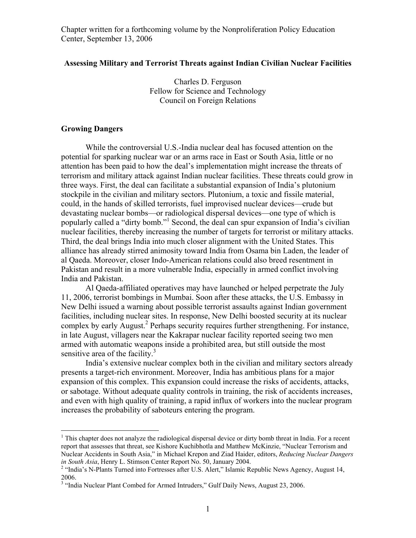#### **Assessing Military and Terrorist Threats against Indian Civilian Nuclear Facilities**

Charles D. Ferguson Fellow for Science and Technology Council on Foreign Relations

#### **Growing Dangers**

 $\overline{a}$ 

While the controversial U.S.-India nuclear deal has focused attention on the potential for sparking nuclear war or an arms race in East or South Asia, little or no attention has been paid to how the deal's implementation might increase the threats of terrorism and military attack against Indian nuclear facilities. These threats could grow in three ways. First, the deal can facilitate a substantial expansion of India's plutonium stockpile in the civilian and military sectors. Plutonium, a toxic and fissile material, could, in the hands of skilled terrorists, fuel improvised nuclear devices—crude but devastating nuclear bombs—or radiological dispersal devices—one type of which is popularly called a "dirty bomb."<sup>1</sup> Second, the deal can spur expansion of India's civilian nuclear facilities, thereby increasing the number of targets for terrorist or military attacks. Third, the deal brings India into much closer alignment with the United States. This alliance has already stirred animosity toward India from Osama bin Laden, the leader of al Qaeda. Moreover, closer Indo-American relations could also breed resentment in Pakistan and result in a more vulnerable India, especially in armed conflict involving India and Pakistan.

Al Qaeda-affiliated operatives may have launched or helped perpetrate the July 11, 2006, terrorist bombings in Mumbai. Soon after these attacks, the U.S. Embassy in New Delhi issued a warning about possible terrorist assaults against Indian government facilities, including nuclear sites. In response, New Delhi boosted security at its nuclear complex by early August.<sup>2</sup> Perhaps security requires further strengthening. For instance, in late August, villagers near the Kakrapar nuclear facility reported seeing two men armed with automatic weapons inside a prohibited area, but still outside the most sensitive area of the facility. $3$ 

India's extensive nuclear complex both in the civilian and military sectors already presents a target-rich environment. Moreover, India has ambitious plans for a major expansion of this complex. This expansion could increase the risks of accidents, attacks, or sabotage. Without adequate quality controls in training, the risk of accidents increases, and even with high quality of training, a rapid influx of workers into the nuclear program increases the probability of saboteurs entering the program.

 $<sup>1</sup>$  This chapter does not analyze the radiological dispersal device or dirty bomb threat in India. For a recent</sup> report that assesses that threat, see Kishore Kuchibhotla and Matthew McKinzie, "Nuclear Terrorism and Nuclear Accidents in South Asia," in Michael Krepon and Ziad Haider, editors, *Reducing Nuclear Dangers in South Asia*, Henry L. Stimson Center Report No. 50, January 2004.

<sup>&</sup>lt;sup>2</sup> "India's N-Plants Turned into Fortresses after U.S. Alert," Islamic Republic News Agency, August 14, 2006.<br><sup>3</sup> "India Nuclear Plant Combed for Armed Intruders," Gulf Daily News, August 23, 2006.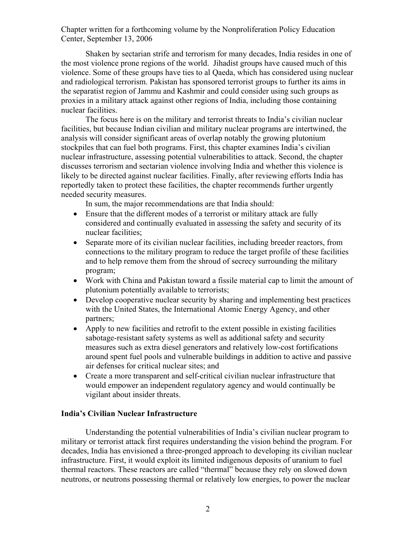Shaken by sectarian strife and terrorism for many decades, India resides in one of the most violence prone regions of the world. Jihadist groups have caused much of this violence. Some of these groups have ties to al Qaeda, which has considered using nuclear and radiological terrorism. Pakistan has sponsored terrorist groups to further its aims in the separatist region of Jammu and Kashmir and could consider using such groups as proxies in a military attack against other regions of India, including those containing nuclear facilities.

 The focus here is on the military and terrorist threats to India's civilian nuclear facilities, but because Indian civilian and military nuclear programs are intertwined, the analysis will consider significant areas of overlap notably the growing plutonium stockpiles that can fuel both programs. First, this chapter examines India's civilian nuclear infrastructure, assessing potential vulnerabilities to attack. Second, the chapter discusses terrorism and sectarian violence involving India and whether this violence is likely to be directed against nuclear facilities. Finally, after reviewing efforts India has reportedly taken to protect these facilities, the chapter recommends further urgently needed security measures.

In sum, the major recommendations are that India should:

- Ensure that the different modes of a terrorist or military attack are fully considered and continually evaluated in assessing the safety and security of its nuclear facilities;
- Separate more of its civilian nuclear facilities, including breeder reactors, from connections to the military program to reduce the target profile of these facilities and to help remove them from the shroud of secrecy surrounding the military program;
- Work with China and Pakistan toward a fissile material cap to limit the amount of plutonium potentially available to terrorists;
- Develop cooperative nuclear security by sharing and implementing best practices with the United States, the International Atomic Energy Agency, and other partners;
- Apply to new facilities and retrofit to the extent possible in existing facilities sabotage-resistant safety systems as well as additional safety and security measures such as extra diesel generators and relatively low-cost fortifications around spent fuel pools and vulnerable buildings in addition to active and passive air defenses for critical nuclear sites; and
- Create a more transparent and self-critical civilian nuclear infrastructure that would empower an independent regulatory agency and would continually be vigilant about insider threats.

# **India's Civilian Nuclear Infrastructure**

Understanding the potential vulnerabilities of India's civilian nuclear program to military or terrorist attack first requires understanding the vision behind the program. For decades, India has envisioned a three-pronged approach to developing its civilian nuclear infrastructure. First, it would exploit its limited indigenous deposits of uranium to fuel thermal reactors. These reactors are called "thermal" because they rely on slowed down neutrons, or neutrons possessing thermal or relatively low energies, to power the nuclear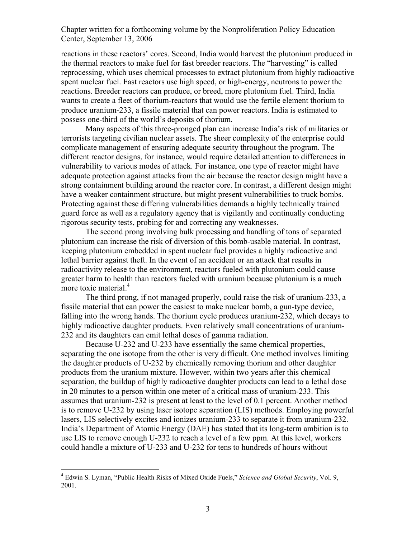reactions in these reactors' cores. Second, India would harvest the plutonium produced in the thermal reactors to make fuel for fast breeder reactors. The "harvesting" is called reprocessing, which uses chemical processes to extract plutonium from highly radioactive spent nuclear fuel. Fast reactors use high speed, or high-energy, neutrons to power the reactions. Breeder reactors can produce, or breed, more plutonium fuel. Third, India wants to create a fleet of thorium-reactors that would use the fertile element thorium to produce uranium-233, a fissile material that can power reactors. India is estimated to possess one-third of the world's deposits of thorium.

Many aspects of this three-pronged plan can increase India's risk of militaries or terrorists targeting civilian nuclear assets. The sheer complexity of the enterprise could complicate management of ensuring adequate security throughout the program. The different reactor designs, for instance, would require detailed attention to differences in vulnerability to various modes of attack. For instance, one type of reactor might have adequate protection against attacks from the air because the reactor design might have a strong containment building around the reactor core. In contrast, a different design might have a weaker containment structure, but might present vulnerabilities to truck bombs. Protecting against these differing vulnerabilities demands a highly technically trained guard force as well as a regulatory agency that is vigilantly and continually conducting rigorous security tests, probing for and correcting any weaknesses.

The second prong involving bulk processing and handling of tons of separated plutonium can increase the risk of diversion of this bomb-usable material. In contrast, keeping plutonium embedded in spent nuclear fuel provides a highly radioactive and lethal barrier against theft. In the event of an accident or an attack that results in radioactivity release to the environment, reactors fueled with plutonium could cause greater harm to health than reactors fueled with uranium because plutonium is a much more toxic material.<sup>4</sup>

The third prong, if not managed properly, could raise the risk of uranium-233, a fissile material that can power the easiest to make nuclear bomb, a gun-type device, falling into the wrong hands. The thorium cycle produces uranium-232, which decays to highly radioactive daughter products. Even relatively small concentrations of uranium-232 and its daughters can emit lethal doses of gamma radiation.

Because U-232 and U-233 have essentially the same chemical properties, separating the one isotope from the other is very difficult. One method involves limiting the daughter products of U-232 by chemically removing thorium and other daughter products from the uranium mixture. However, within two years after this chemical separation, the buildup of highly radioactive daughter products can lead to a lethal dose in 20 minutes to a person within one meter of a critical mass of uranium-233. This assumes that uranium-232 is present at least to the level of 0.1 percent. Another method is to remove U-232 by using laser isotope separation (LIS) methods. Employing powerful lasers, LIS selectively excites and ionizes uranium-233 to separate it from uranium-232. India's Department of Atomic Energy (DAE) has stated that its long-term ambition is to use LIS to remove enough U-232 to reach a level of a few ppm. At this level, workers could handle a mixture of U-233 and U-232 for tens to hundreds of hours without

 4 Edwin S. Lyman, "Public Health Risks of Mixed Oxide Fuels," *Science and Global Security*, Vol. 9, 2001.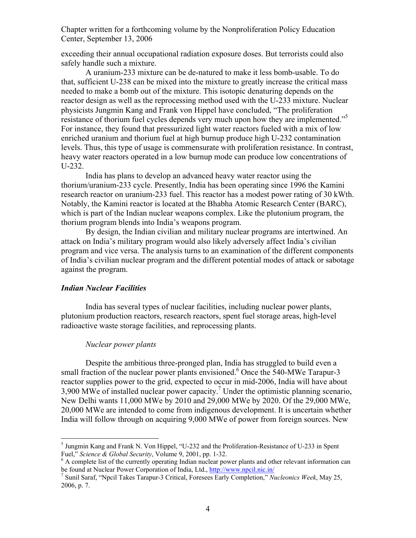exceeding their annual occupational radiation exposure doses. But terrorists could also safely handle such a mixture.

A uranium-233 mixture can be de-natured to make it less bomb-usable. To do that, sufficient U-238 can be mixed into the mixture to greatly increase the critical mass needed to make a bomb out of the mixture. This isotopic denaturing depends on the reactor design as well as the reprocessing method used with the U-233 mixture. Nuclear physicists Jungmin Kang and Frank von Hippel have concluded, "The proliferation resistance of thorium fuel cycles depends very much upon how they are implemented."<sup>5</sup> For instance, they found that pressurized light water reactors fueled with a mix of low enriched uranium and thorium fuel at high burnup produce high U-232 contamination levels. Thus, this type of usage is commensurate with proliferation resistance. In contrast, heavy water reactors operated in a low burnup mode can produce low concentrations of U-232.

 India has plans to develop an advanced heavy water reactor using the thorium/uranium-233 cycle. Presently, India has been operating since 1996 the Kamini research reactor on uranium-233 fuel. This reactor has a modest power rating of 30 kWth. Notably, the Kamini reactor is located at the Bhabha Atomic Research Center (BARC), which is part of the Indian nuclear weapons complex. Like the plutonium program, the thorium program blends into India's weapons program.

By design, the Indian civilian and military nuclear programs are intertwined. An attack on India's military program would also likely adversely affect India's civilian program and vice versa. The analysis turns to an examination of the different components of India's civilian nuclear program and the different potential modes of attack or sabotage against the program.

#### *Indian Nuclear Facilities*

India has several types of nuclear facilities, including nuclear power plants, plutonium production reactors, research reactors, spent fuel storage areas, high-level radioactive waste storage facilities, and reprocessing plants.

#### *Nuclear power plants*

 Despite the ambitious three-pronged plan, India has struggled to build even a small fraction of the nuclear power plants envisioned.<sup>6</sup> Once the 540-MWe Tarapur-3 reactor supplies power to the grid, expected to occur in mid-2006, India will have about 3,900 MWe of installed nuclear power capacity.<sup>7</sup> Under the optimistic planning scenario, New Delhi wants 11,000 MWe by 2010 and 29,000 MWe by 2020. Of the 29,000 MWe, 20,000 MWe are intended to come from indigenous development. It is uncertain whether India will follow through on acquiring 9,000 MWe of power from foreign sources. New

<sup>&</sup>lt;sup>5</sup> Jungmin Kang and Frank N. Von Hippel, "U-232 and the Proliferation-Resistance of U-233 in Spent Fuel," *Science & Global Security*, Volume 9, 2001, pp. 1-32. 6

 $6$  A complete list of the currently operating Indian nuclear power plants and other relevant information can be found at Nuclear Power Corporation of India, Ltd., http://www.npcil.nic.in/ <sup>7</sup>

Sunil Saraf, "Npcil Takes Tarapur-3 Critical, Foresees Early Completion," *Nucleonics Week*, May 25, 2006, p. 7.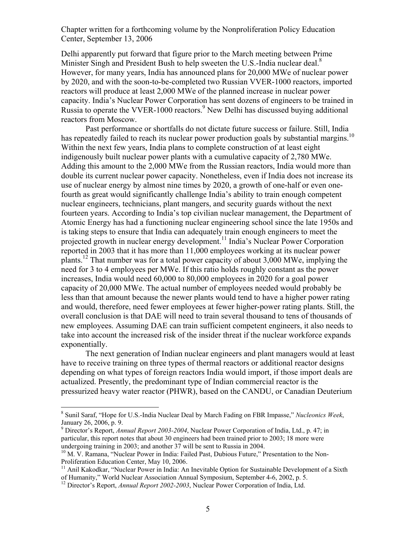Delhi apparently put forward that figure prior to the March meeting between Prime Minister Singh and President Bush to help sweeten the U.S.-India nuclear deal.<sup>8</sup> However, for many years, India has announced plans for 20,000 MWe of nuclear power by 2020, and with the soon-to-be-completed two Russian VVER-1000 reactors, imported reactors will produce at least 2,000 MWe of the planned increase in nuclear power capacity. India's Nuclear Power Corporation has sent dozens of engineers to be trained in Russia to operate the VVER-1000 reactors.<sup>9</sup> New Delhi has discussed buying additional reactors from Moscow.

Past performance or shortfalls do not dictate future success or failure. Still, India has repeatedly failed to reach its nuclear power production goals by substantial margins.<sup>10</sup> Within the next few years, India plans to complete construction of at least eight indigenously built nuclear power plants with a cumulative capacity of 2,780 MWe. Adding this amount to the 2,000 MWe from the Russian reactors, India would more than double its current nuclear power capacity. Nonetheless, even if India does not increase its use of nuclear energy by almost nine times by 2020, a growth of one-half or even onefourth as great would significantly challenge India's ability to train enough competent nuclear engineers, technicians, plant mangers, and security guards without the next fourteen years. According to India's top civilian nuclear management, the Department of Atomic Energy has had a functioning nuclear engineering school since the late 1950s and is taking steps to ensure that India can adequately train enough engineers to meet the projected growth in nuclear energy development.<sup>11</sup> India's Nuclear Power Corporation reported in 2003 that it has more than 11,000 employees working at its nuclear power plants.<sup>12</sup> That number was for a total power capacity of about 3,000 MWe, implying the need for 3 to 4 employees per MWe. If this ratio holds roughly constant as the power increases, India would need 60,000 to 80,000 employees in 2020 for a goal power capacity of 20,000 MWe. The actual number of employees needed would probably be less than that amount because the newer plants would tend to have a higher power rating and would, therefore, need fewer employees at fewer higher-power rating plants. Still, the overall conclusion is that DAE will need to train several thousand to tens of thousands of new employees. Assuming DAE can train sufficient competent engineers, it also needs to take into account the increased risk of the insider threat if the nuclear workforce expands exponentially.

 The next generation of Indian nuclear engineers and plant managers would at least have to receive training on three types of thermal reactors or additional reactor designs depending on what types of foreign reactors India would import, if those import deals are actualized. Presently, the predominant type of Indian commercial reactor is the pressurized heavy water reactor (PHWR), based on the CANDU, or Canadian Deuterium

<sup>8</sup> Sunil Saraf, "Hope for U.S.-India Nuclear Deal by March Fading on FBR Impasse," *Nucleonics Week*, January 26, 2006, p. 9.

<sup>9</sup> Director's Report, *Annual Report 2003-2004*, Nuclear Power Corporation of India, Ltd., p. 47; in particular, this report notes that about 30 engineers had been trained prior to 2003; 18 more were undergoing training in 2003; and another 37 will be sent to Russia in 2004.

<sup>&</sup>lt;sup>10</sup> M. V. Ramana, "Nuclear Power in India: Failed Past, Dubious Future," Presentation to the Non-Proliferation Education Center, May 10, 2006.

<sup>&</sup>lt;sup>11</sup> Anil Kakodkar, "Nuclear Power in India: An Inevitable Option for Sustainable Development of a Sixth of Humanity," World Nuclear Association Annual Symposium, September 4-6, 2002, p. 5.

<sup>&</sup>lt;sup>12</sup> Director's Report, *Annual Report 2002-2003*, Nuclear Power Corporation of India, Ltd.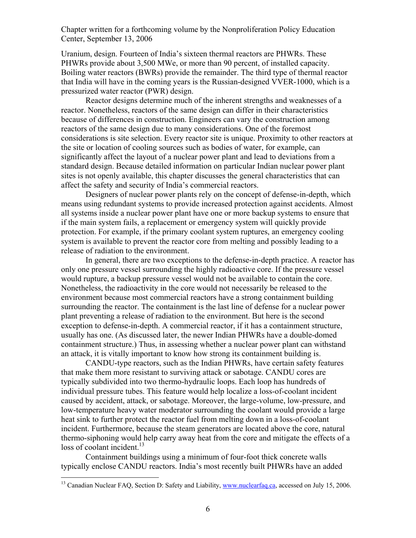Uranium, design. Fourteen of India's sixteen thermal reactors are PHWRs. These PHWRs provide about 3,500 MWe, or more than 90 percent, of installed capacity. Boiling water reactors (BWRs) provide the remainder. The third type of thermal reactor that India will have in the coming years is the Russian-designed VVER-1000, which is a pressurized water reactor (PWR) design.

Reactor designs determine much of the inherent strengths and weaknesses of a reactor. Nonetheless, reactors of the same design can differ in their characteristics because of differences in construction. Engineers can vary the construction among reactors of the same design due to many considerations. One of the foremost considerations is site selection. Every reactor site is unique. Proximity to other reactors at the site or location of cooling sources such as bodies of water, for example, can significantly affect the layout of a nuclear power plant and lead to deviations from a standard design. Because detailed information on particular Indian nuclear power plant sites is not openly available, this chapter discusses the general characteristics that can affect the safety and security of India's commercial reactors.

Designers of nuclear power plants rely on the concept of defense-in-depth, which means using redundant systems to provide increased protection against accidents. Almost all systems inside a nuclear power plant have one or more backup systems to ensure that if the main system fails, a replacement or emergency system will quickly provide protection. For example, if the primary coolant system ruptures, an emergency cooling system is available to prevent the reactor core from melting and possibly leading to a release of radiation to the environment.

In general, there are two exceptions to the defense-in-depth practice. A reactor has only one pressure vessel surrounding the highly radioactive core. If the pressure vessel would rupture, a backup pressure vessel would not be available to contain the core. Nonetheless, the radioactivity in the core would not necessarily be released to the environment because most commercial reactors have a strong containment building surrounding the reactor. The containment is the last line of defense for a nuclear power plant preventing a release of radiation to the environment. But here is the second exception to defense-in-depth. A commercial reactor, if it has a containment structure, usually has one. (As discussed later, the newer Indian PHWRs have a double-domed containment structure.) Thus, in assessing whether a nuclear power plant can withstand an attack, it is vitally important to know how strong its containment building is.

CANDU-type reactors, such as the Indian PHWRs, have certain safety features that make them more resistant to surviving attack or sabotage. CANDU cores are typically subdivided into two thermo-hydraulic loops. Each loop has hundreds of individual pressure tubes. This feature would help localize a loss-of-coolant incident caused by accident, attack, or sabotage. Moreover, the large-volume, low-pressure, and low-temperature heavy water moderator surrounding the coolant would provide a large heat sink to further protect the reactor fuel from melting down in a loss-of-coolant incident. Furthermore, because the steam generators are located above the core, natural thermo-siphoning would help carry away heat from the core and mitigate the effects of a  $\log s$  of coolant incident.<sup>13</sup>

Containment buildings using a minimum of four-foot thick concrete walls typically enclose CANDU reactors. India's most recently built PHWRs have an added

<u>.</u>

<sup>&</sup>lt;sup>13</sup> Canadian Nuclear FAQ, Section D: Safety and Liability, www.nuclearfaq.ca, accessed on July 15, 2006.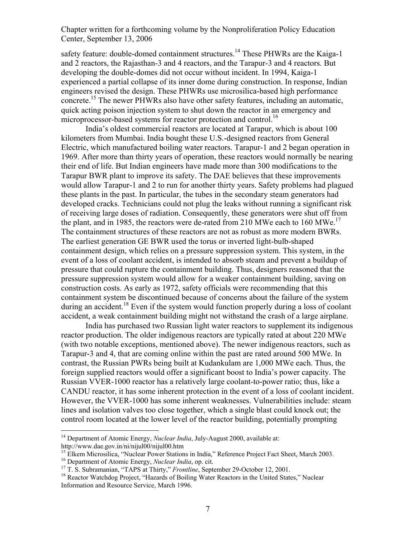safety feature: double-domed containment structures.<sup>14</sup> These PHWRs are the Kaiga-1 and 2 reactors, the Rajasthan-3 and 4 reactors, and the Tarapur-3 and 4 reactors. But developing the double-domes did not occur without incident. In 1994, Kaiga-1 experienced a partial collapse of its inner dome during construction. In response, Indian engineers revised the design. These PHWRs use microsilica-based high performance concrete.<sup>15</sup> The newer PHWRs also have other safety features, including an automatic, quick acting poison injection system to shut down the reactor in an emergency and microprocessor-based systems for reactor protection and control.<sup>16</sup>

 India's oldest commercial reactors are located at Tarapur, which is about 100 kilometers from Mumbai. India bought these U.S.-designed reactors from General Electric, which manufactured boiling water reactors. Tarapur-1 and 2 began operation in 1969. After more than thirty years of operation, these reactors would normally be nearing their end of life. But Indian engineers have made more than 300 modifications to the Tarapur BWR plant to improve its safety. The DAE believes that these improvements would allow Tarapur-1 and 2 to run for another thirty years. Safety problems had plagued these plants in the past. In particular, the tubes in the secondary steam generators had developed cracks. Technicians could not plug the leaks without running a significant risk of receiving large doses of radiation. Consequently, these generators were shut off from the plant, and in 1985, the reactors were de-rated from 210 MWe each to 160 MWe.<sup>17</sup> The containment structures of these reactors are not as robust as more modern BWRs. The earliest generation GE BWR used the torus or inverted light-bulb-shaped containment design, which relies on a pressure suppression system. This system, in the event of a loss of coolant accident, is intended to absorb steam and prevent a buildup of pressure that could rupture the containment building. Thus, designers reasoned that the pressure suppression system would allow for a weaker containment building, saving on construction costs. As early as 1972, safety officials were recommending that this containment system be discontinued because of concerns about the failure of the system during an accident.<sup>18</sup> Even if the system would function properly during a loss of coolant accident, a weak containment building might not withstand the crash of a large airplane.

 India has purchased two Russian light water reactors to supplement its indigenous reactor production. The older indigenous reactors are typically rated at about 220 MWe (with two notable exceptions, mentioned above). The newer indigenous reactors, such as Tarapur-3 and 4, that are coming online within the past are rated around 500 MWe. In contrast, the Russian PWRs being built at Kudankulam are 1,000 MWe each. Thus, the foreign supplied reactors would offer a significant boost to India's power capacity. The Russian VVER-1000 reactor has a relatively large coolant-to-power ratio; thus, like a CANDU reactor, it has some inherent protection in the event of a loss of coolant incident. However, the VVER-1000 has some inherent weaknesses. Vulnerabilities include: steam lines and isolation valves too close together, which a single blast could knock out; the control room located at the lower level of the reactor building, potentially prompting

<sup>&</sup>lt;sup>14</sup> Department of Atomic Energy, *Nuclear India*, July-August 2000, available at:

http://www.dae.gov.in/ni/nijul00/nijul00.htm<br><sup>15</sup> Elkem Microsilica, "Nuclear Power Stations in India," Reference Project Fact Sheet, March 2003.

<sup>&</sup>lt;sup>16</sup> Department of Atomic Energy, *Nuclear India*, op. cit.<br><sup>17</sup> T. S. Subramanian, "TAPS at Thirty," *Frontline*, September 29-October 12, 2001.<br><sup>18</sup> Reactor Watchdog Project, "Hazards of Boiling Water Reactors in the Un Information and Resource Service, March 1996.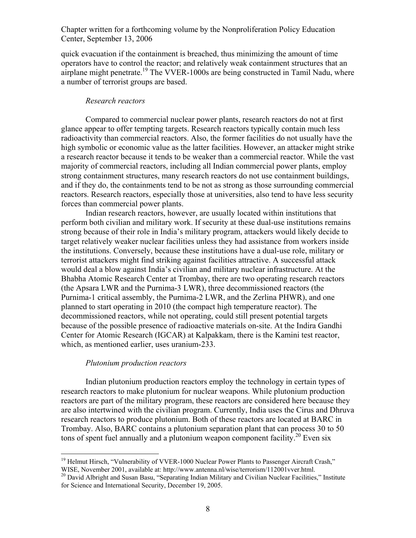quick evacuation if the containment is breached, thus minimizing the amount of time operators have to control the reactor; and relatively weak containment structures that an airplane might penetrate.<sup>19</sup> The VVER-1000s are being constructed in Tamil Nadu, where a number of terrorist groups are based.

#### *Research reactors*

Compared to commercial nuclear power plants, research reactors do not at first glance appear to offer tempting targets. Research reactors typically contain much less radioactivity than commercial reactors. Also, the former facilities do not usually have the high symbolic or economic value as the latter facilities. However, an attacker might strike a research reactor because it tends to be weaker than a commercial reactor. While the vast majority of commercial reactors, including all Indian commercial power plants, employ strong containment structures, many research reactors do not use containment buildings, and if they do, the containments tend to be not as strong as those surrounding commercial reactors. Research reactors, especially those at universities, also tend to have less security forces than commercial power plants.

Indian research reactors, however, are usually located within institutions that perform both civilian and military work. If security at these dual-use institutions remains strong because of their role in India's military program, attackers would likely decide to target relatively weaker nuclear facilities unless they had assistance from workers inside the institutions. Conversely, because these institutions have a dual-use role, military or terrorist attackers might find striking against facilities attractive. A successful attack would deal a blow against India's civilian and military nuclear infrastructure. At the Bhabha Atomic Research Center at Trombay, there are two operating research reactors (the Apsara LWR and the Purnima-3 LWR), three decommissioned reactors (the Purnima-1 critical assembly, the Purnima-2 LWR, and the Zerlina PHWR), and one planned to start operating in 2010 (the compact high temperature reactor). The decommissioned reactors, while not operating, could still present potential targets because of the possible presence of radioactive materials on-site. At the Indira Gandhi Center for Atomic Research (IGCAR) at Kalpakkam, there is the Kamini test reactor, which, as mentioned earlier, uses uranium-233.

#### *Plutonium production reactors*

 $\overline{a}$ 

Indian plutonium production reactors employ the technology in certain types of research reactors to make plutonium for nuclear weapons. While plutonium production reactors are part of the military program, these reactors are considered here because they are also intertwined with the civilian program. Currently, India uses the Cirus and Dhruva research reactors to produce plutonium. Both of these reactors are located at BARC in Trombay. Also, BARC contains a plutonium separation plant that can process 30 to 50 tons of spent fuel annually and a plutonium weapon component facility.<sup>20</sup> Even six

<sup>&</sup>lt;sup>19</sup> Helmut Hirsch, "Vulnerability of VVER-1000 Nuclear Power Plants to Passenger Aircraft Crash," WISE, November 2001, available at: http://www.antenna.nl/wise/terrorism/112001vver.html.

<sup>&</sup>lt;sup>20</sup> David Albright and Susan Basu, "Separating Indian Military and Civilian Nuclear Facilities," Institute for Science and International Security, December 19, 2005.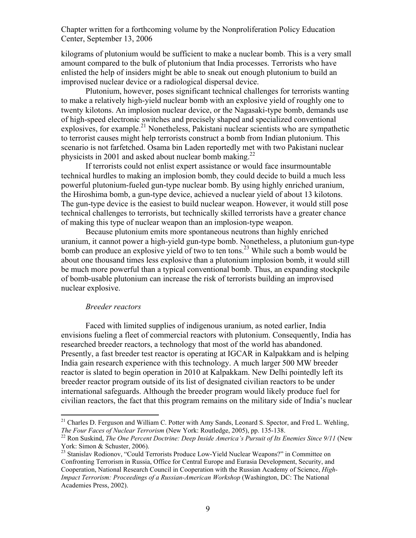kilograms of plutonium would be sufficient to make a nuclear bomb. This is a very small amount compared to the bulk of plutonium that India processes. Terrorists who have enlisted the help of insiders might be able to sneak out enough plutonium to build an improvised nuclear device or a radiological dispersal device.

Plutonium, however, poses significant technical challenges for terrorists wanting to make a relatively high-yield nuclear bomb with an explosive yield of roughly one to twenty kilotons. An implosion nuclear device, or the Nagasaki-type bomb, demands use of high-speed electronic switches and precisely shaped and specialized conventional explosives, for example.<sup>21</sup> Nonetheless, Pakistani nuclear scientists who are sympathetic to terrorist causes might help terrorists construct a bomb from Indian plutonium. This scenario is not farfetched. Osama bin Laden reportedly met with two Pakistani nuclear physicists in 2001 and asked about nuclear bomb making.<sup>22</sup>

If terrorists could not enlist expert assistance or would face insurmountable technical hurdles to making an implosion bomb, they could decide to build a much less powerful plutonium-fueled gun-type nuclear bomb. By using highly enriched uranium, the Hiroshima bomb, a gun-type device, achieved a nuclear yield of about 13 kilotons. The gun-type device is the easiest to build nuclear weapon. However, it would still pose technical challenges to terrorists, but technically skilled terrorists have a greater chance of making this type of nuclear weapon than an implosion-type weapon.

Because plutonium emits more spontaneous neutrons than highly enriched uranium, it cannot power a high-yield gun-type bomb. Nonetheless, a plutonium gun-type bomb can produce an explosive yield of two to ten tons.<sup>23</sup> While such a bomb would be about one thousand times less explosive than a plutonium implosion bomb, it would still be much more powerful than a typical conventional bomb. Thus, an expanding stockpile of bomb-usable plutonium can increase the risk of terrorists building an improvised nuclear explosive.

#### *Breeder reactors*

 $\overline{a}$ 

Faced with limited supplies of indigenous uranium, as noted earlier, India envisions fueling a fleet of commercial reactors with plutonium. Consequently, India has researched breeder reactors, a technology that most of the world has abandoned. Presently, a fast breeder test reactor is operating at IGCAR in Kalpakkam and is helping India gain research experience with this technology. A much larger 500 MW breeder reactor is slated to begin operation in 2010 at Kalpakkam. New Delhi pointedly left its breeder reactor program outside of its list of designated civilian reactors to be under international safeguards. Although the breeder program would likely produce fuel for civilian reactors, the fact that this program remains on the military side of India's nuclear

<sup>&</sup>lt;sup>21</sup> Charles D. Ferguson and William C. Potter with Amy Sands, Leonard S. Spector, and Fred L. Wehling, *The Four Faces of Nuclear Terrorism* (New York: Routledge, 2005), pp. 135-138.<br><sup>22</sup> Ron Suskind, *The One Percent Doctrine: Deep Inside America's Pursuit of Its Enemies Since 9/11* (New

York: Simon & Schuster, 2006).

<sup>&</sup>lt;sup>23</sup> Stanislav Rodionov, "Could Terrorists Produce Low-Yield Nuclear Weapons?" in Committee on Confronting Terrorism in Russia, Office for Central Europe and Eurasia Development, Security, and Cooperation, National Research Council in Cooperation with the Russian Academy of Science, *High-Impact Terrorism: Proceedings of a Russian-American Workshop* (Washington, DC: The National Academies Press, 2002).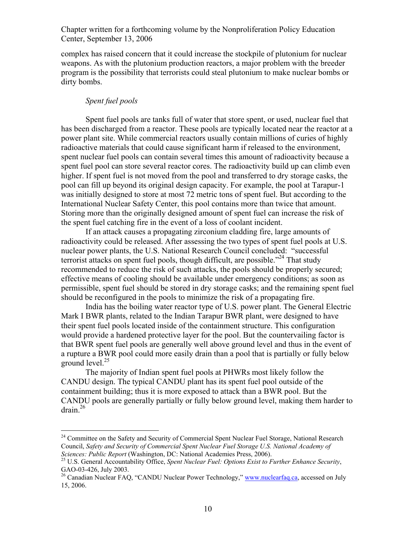complex has raised concern that it could increase the stockpile of plutonium for nuclear weapons. As with the plutonium production reactors, a major problem with the breeder program is the possibility that terrorists could steal plutonium to make nuclear bombs or dirty bombs.

# *Spent fuel pools*

 $\overline{a}$ 

Spent fuel pools are tanks full of water that store spent, or used, nuclear fuel that has been discharged from a reactor. These pools are typically located near the reactor at a power plant site. While commercial reactors usually contain millions of curies of highly radioactive materials that could cause significant harm if released to the environment, spent nuclear fuel pools can contain several times this amount of radioactivity because a spent fuel pool can store several reactor cores. The radioactivity build up can climb even higher. If spent fuel is not moved from the pool and transferred to dry storage casks, the pool can fill up beyond its original design capacity. For example, the pool at Tarapur-1 was initially designed to store at most 72 metric tons of spent fuel. But according to the International Nuclear Safety Center, this pool contains more than twice that amount. Storing more than the originally designed amount of spent fuel can increase the risk of the spent fuel catching fire in the event of a loss of coolant incident.

If an attack causes a propagating zirconium cladding fire, large amounts of radioactivity could be released. After assessing the two types of spent fuel pools at U.S. nuclear power plants, the U.S. National Research Council concluded: "successful terrorist attacks on spent fuel pools, though difficult, are possible."<sup>24</sup> That study recommended to reduce the risk of such attacks, the pools should be properly secured; effective means of cooling should be available under emergency conditions; as soon as permissible, spent fuel should be stored in dry storage casks; and the remaining spent fuel should be reconfigured in the pools to minimize the risk of a propagating fire.

 India has the boiling water reactor type of U.S. power plant. The General Electric Mark I BWR plants, related to the Indian Tarapur BWR plant, were designed to have their spent fuel pools located inside of the containment structure. This configuration would provide a hardened protective layer for the pool. But the countervailing factor is that BWR spent fuel pools are generally well above ground level and thus in the event of a rupture a BWR pool could more easily drain than a pool that is partially or fully below ground level. $25$ 

 The majority of Indian spent fuel pools at PHWRs most likely follow the CANDU design. The typical CANDU plant has its spent fuel pool outside of the containment building; thus it is more exposed to attack than a BWR pool. But the CANDU pools are generally partially or fully below ground level, making them harder to drain.26

<sup>&</sup>lt;sup>24</sup> Committee on the Safety and Security of Commercial Spent Nuclear Fuel Storage, National Research Council, *Safety and Security of Commercial Spent Nuclear Fuel Storage U.S. National Academy of Sciences: Public Report* (Washington, DC: National Academies Press, 2006). 25 U.S. General Accountability Office, *Spent Nuclear Fuel: Options Exist to Further Enhance Security*,

GAO-03-426, July 2003.

<sup>&</sup>lt;sup>26</sup> Canadian Nuclear FAQ, "CANDU Nuclear Power Technology," www.nuclearfaq.ca, accessed on July 15, 2006.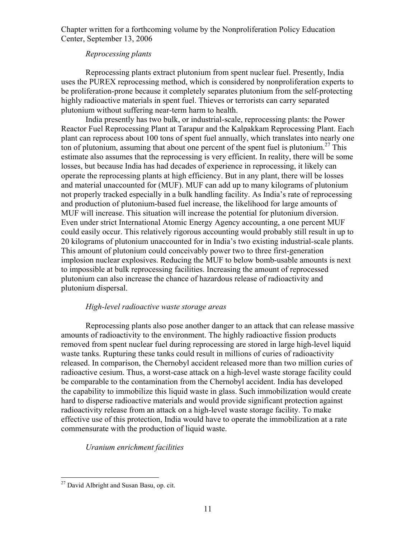# *Reprocessing plants*

Reprocessing plants extract plutonium from spent nuclear fuel. Presently, India uses the PUREX reprocessing method, which is considered by nonproliferation experts to be proliferation-prone because it completely separates plutonium from the self-protecting highly radioactive materials in spent fuel. Thieves or terrorists can carry separated plutonium without suffering near-term harm to health.

 India presently has two bulk, or industrial-scale, reprocessing plants: the Power Reactor Fuel Reprocessing Plant at Tarapur and the Kalpakkam Reprocessing Plant. Each plant can reprocess about 100 tons of spent fuel annually, which translates into nearly one ton of plutonium, assuming that about one percent of the spent fuel is plutonium.<sup>27</sup> This estimate also assumes that the reprocessing is very efficient. In reality, there will be some losses, but because India has had decades of experience in reprocessing, it likely can operate the reprocessing plants at high efficiency. But in any plant, there will be losses and material unaccounted for (MUF). MUF can add up to many kilograms of plutonium not properly tracked especially in a bulk handling facility. As India's rate of reprocessing and production of plutonium-based fuel increase, the likelihood for large amounts of MUF will increase. This situation will increase the potential for plutonium diversion. Even under strict International Atomic Energy Agency accounting, a one percent MUF could easily occur. This relatively rigorous accounting would probably still result in up to 20 kilograms of plutonium unaccounted for in India's two existing industrial-scale plants. This amount of plutonium could conceivably power two to three first-generation implosion nuclear explosives. Reducing the MUF to below bomb-usable amounts is next to impossible at bulk reprocessing facilities. Increasing the amount of reprocessed plutonium can also increase the chance of hazardous release of radioactivity and plutonium dispersal.

# *High-level radioactive waste storage areas*

Reprocessing plants also pose another danger to an attack that can release massive amounts of radioactivity to the environment. The highly radioactive fission products removed from spent nuclear fuel during reprocessing are stored in large high-level liquid waste tanks. Rupturing these tanks could result in millions of curies of radioactivity released. In comparison, the Chernobyl accident released more than two million curies of radioactive cesium. Thus, a worst-case attack on a high-level waste storage facility could be comparable to the contamination from the Chernobyl accident. India has developed the capability to immobilize this liquid waste in glass. Such immobilization would create hard to disperse radioactive materials and would provide significant protection against radioactivity release from an attack on a high-level waste storage facility. To make effective use of this protection, India would have to operate the immobilization at a rate commensurate with the production of liquid waste.

*Uranium enrichment facilities* 

 $\overline{a}$  $27$  David Albright and Susan Basu, op. cit.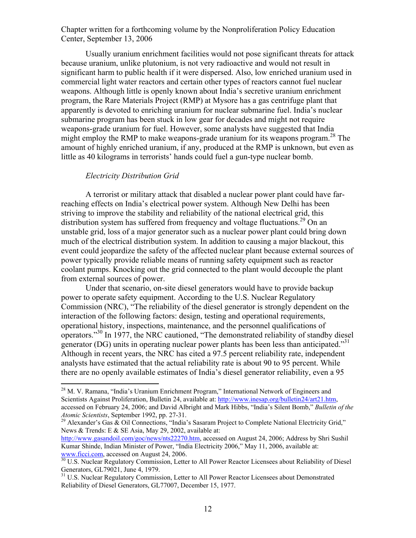Usually uranium enrichment facilities would not pose significant threats for attack because uranium, unlike plutonium, is not very radioactive and would not result in significant harm to public health if it were dispersed. Also, low enriched uranium used in commercial light water reactors and certain other types of reactors cannot fuel nuclear weapons. Although little is openly known about India's secretive uranium enrichment program, the Rare Materials Project (RMP) at Mysore has a gas centrifuge plant that apparently is devoted to enriching uranium for nuclear submarine fuel. India's nuclear submarine program has been stuck in low gear for decades and might not require weapons-grade uranium for fuel. However, some analysts have suggested that India might employ the RMP to make weapons-grade uranium for its weapons program.<sup>28</sup> The amount of highly enriched uranium, if any, produced at the RMP is unknown, but even as little as 40 kilograms in terrorists' hands could fuel a gun-type nuclear bomb.

#### *Electricity Distribution Grid*

1

 A terrorist or military attack that disabled a nuclear power plant could have farreaching effects on India's electrical power system. Although New Delhi has been striving to improve the stability and reliability of the national electrical grid, this distribution system has suffered from frequency and voltage fluctuations.<sup>29</sup> On an unstable grid, loss of a major generator such as a nuclear power plant could bring down much of the electrical distribution system. In addition to causing a major blackout, this event could jeopardize the safety of the affected nuclear plant because external sources of power typically provide reliable means of running safety equipment such as reactor coolant pumps. Knocking out the grid connected to the plant would decouple the plant from external sources of power.

Under that scenario, on-site diesel generators would have to provide backup power to operate safety equipment. According to the U.S. Nuclear Regulatory Commission (NRC), "The reliability of the diesel generator is strongly dependent on the interaction of the following factors: design, testing and operational requirements, operational history, inspections, maintenance, and the personnel qualifications of operators."30 In 1977, the NRC cautioned, "The demonstrated reliability of standby diesel generator (DG) units in operating nuclear power plants has been less than anticipated.<sup>331</sup> Although in recent years, the NRC has cited a 97.5 percent reliability rate, independent analysts have estimated that the actual reliability rate is about 90 to 95 percent. While there are no openly available estimates of India's diesel generator reliability, even a 95

 $^{28}$  M. V. Ramana, "India's Uranium Enrichment Program," International Network of Engineers and Scientists Against Proliferation, Bulletin 24, available at: http://www.inesap.org/bulletin24/art21.htm, accessed on February 24, 2006; and David Albright and Mark Hibbs, "India's Silent Bomb," *Bulletin of the Atomic Scientists*, September 1992, pp. 27-31.<br><sup>29</sup> Alexander's Gas & Oil Connections, "India's Sasaram Project to Complete National Electricity Grid,"

News & Trends: E & SE Asia, May 29, 2002, available at:

http://www.gasandoil.com/goc/news/nts22270.htm, accessed on August 24, 2006; Address by Shri Sushil Kumar Shinde, Indian Minister of Power, "India Electricity 2006," May 11, 2006, available at: www.ficci.com, accessed on August 24, 2006.<br><sup>30</sup> U.S. Nuclear Regulatory Commission, Letter to All Power Reactor Licensees about Reliability of Diesel

Generators, GL79021, June 4, 1979.

<sup>&</sup>lt;sup>31</sup> U.S. Nuclear Regulatory Commission, Letter to All Power Reactor Licensees about Demonstrated Reliability of Diesel Generators, GL77007, December 15, 1977.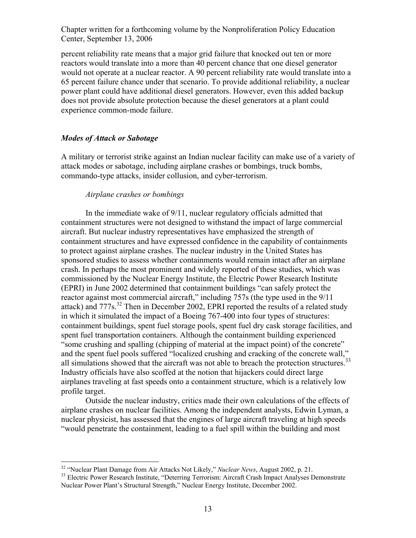percent reliability rate means that a major grid failure that knocked out ten or more reactors would translate into a more than 40 percent chance that one diesel generator would not operate at a nuclear reactor. A 90 percent reliability rate would translate into a 65 percent failure chance under that scenario. To provide additional reliability, a nuclear power plant could have additional diesel generators. However, even this added backup does not provide absolute protection because the diesel generators at a plant could experience common-mode failure.

#### *Modes of Attack or Sabotage*

1

A military or terrorist strike against an Indian nuclear facility can make use of a variety of attack modes or sabotage, including airplane crashes or bombings, truck bombs, commando-type attacks, insider collusion, and cyber-terrorism.

## *Airplane crashes or bombings*

In the immediate wake of 9/11, nuclear regulatory officials admitted that containment structures were not designed to withstand the impact of large commercial aircraft. But nuclear industry representatives have emphasized the strength of containment structures and have expressed confidence in the capability of containments to protect against airplane crashes. The nuclear industry in the United States has sponsored studies to assess whether containments would remain intact after an airplane crash. In perhaps the most prominent and widely reported of these studies, which was commissioned by the Nuclear Energy Institute, the Electric Power Research Institute (EPRI) in June 2002 determined that containment buildings "can safely protect the reactor against most commercial aircraft," including 757s (the type used in the 9/11 attack) and  $777s$ .<sup>32</sup> Then in December 2002, EPRI reported the results of a related study in which it simulated the impact of a Boeing 767-400 into four types of structures: containment buildings, spent fuel storage pools, spent fuel dry cask storage facilities, and spent fuel transportation containers. Although the containment building experienced "some crushing and spalling (chipping of material at the impact point) of the concrete" and the spent fuel pools suffered "localized crushing and cracking of the concrete wall," all simulations showed that the aircraft was not able to breach the protection structures.<sup>33</sup> Industry officials have also scoffed at the notion that hijackers could direct large airplanes traveling at fast speeds onto a containment structure, which is a relatively low profile target.

 Outside the nuclear industry, critics made their own calculations of the effects of airplane crashes on nuclear facilities. Among the independent analysts, Edwin Lyman, a nuclear physicist, has assessed that the engines of large aircraft traveling at high speeds "would penetrate the containment, leading to a fuel spill within the building and most

<sup>&</sup>lt;sup>32</sup> "Nuclear Plant Damage from Air Attacks Not Likely," *Nuclear News*, August 2002, p. 21.<br><sup>33</sup> Electric Power Research Institute, "Deterring Terrorism: Aircraft Crash Impact Analyses Demonstrate Nuclear Power Plant's Structural Strength," Nuclear Energy Institute, December 2002.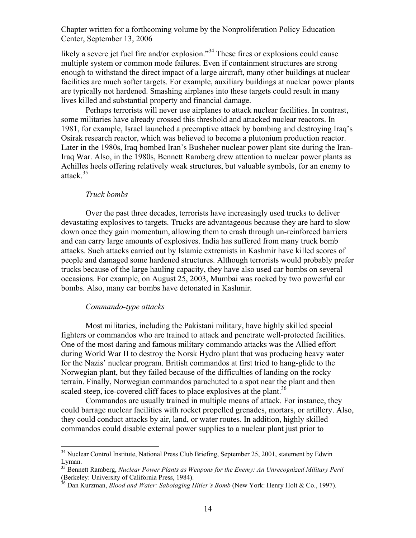likely a severe jet fuel fire and/or explosion."34 These fires or explosions could cause multiple system or common mode failures. Even if containment structures are strong enough to withstand the direct impact of a large aircraft, many other buildings at nuclear facilities are much softer targets. For example, auxiliary buildings at nuclear power plants are typically not hardened. Smashing airplanes into these targets could result in many lives killed and substantial property and financial damage.

 Perhaps terrorists will never use airplanes to attack nuclear facilities. In contrast, some militaries have already crossed this threshold and attacked nuclear reactors. In 1981, for example, Israel launched a preemptive attack by bombing and destroying Iraq's Osirak research reactor, which was believed to become a plutonium production reactor. Later in the 1980s, Iraq bombed Iran's Busheher nuclear power plant site during the Iran-Iraq War. Also, in the 1980s, Bennett Ramberg drew attention to nuclear power plants as Achilles heels offering relatively weak structures, but valuable symbols, for an enemy to attack.<sup>35</sup>

#### *Truck bombs*

Over the past three decades, terrorists have increasingly used trucks to deliver devastating explosives to targets. Trucks are advantageous because they are hard to slow down once they gain momentum, allowing them to crash through un-reinforced barriers and can carry large amounts of explosives. India has suffered from many truck bomb attacks. Such attacks carried out by Islamic extremists in Kashmir have killed scores of people and damaged some hardened structures. Although terrorists would probably prefer trucks because of the large hauling capacity, they have also used car bombs on several occasions. For example, on August 25, 2003, Mumbai was rocked by two powerful car bombs. Also, many car bombs have detonated in Kashmir.

#### *Commando-type attacks*

 $\overline{a}$ 

Most militaries, including the Pakistani military, have highly skilled special fighters or commandos who are trained to attack and penetrate well-protected facilities. One of the most daring and famous military commando attacks was the Allied effort during World War II to destroy the Norsk Hydro plant that was producing heavy water for the Nazis' nuclear program. British commandos at first tried to hang-glide to the Norwegian plant, but they failed because of the difficulties of landing on the rocky terrain. Finally, Norwegian commandos parachuted to a spot near the plant and then scaled steep, ice-covered cliff faces to place explosives at the plant.<sup>36</sup>

Commandos are usually trained in multiple means of attack. For instance, they could barrage nuclear facilities with rocket propelled grenades, mortars, or artillery. Also, they could conduct attacks by air, land, or water routes. In addition, highly skilled commandos could disable external power supplies to a nuclear plant just prior to

<sup>&</sup>lt;sup>34</sup> Nuclear Control Institute, National Press Club Briefing, September 25, 2001, statement by Edwin Lyman.

<sup>&</sup>lt;sup>35</sup> Bennett Ramberg, *Nuclear Power Plants as Weapons for the Enemy: An Unrecognized Military Peril* (Berkeley: University of California Press, 1984).

<sup>36</sup> Dan Kurzman, *Blood and Water: Sabotaging Hitler's Bomb* (New York: Henry Holt & Co., 1997).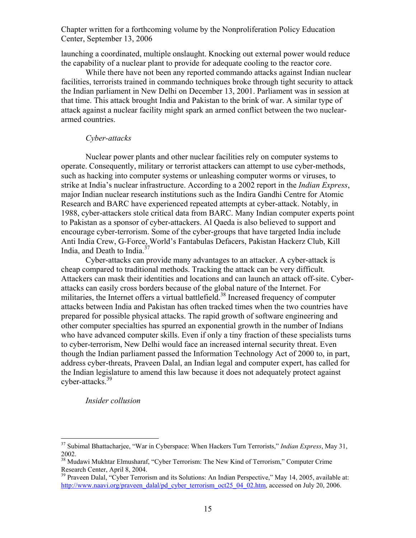launching a coordinated, multiple onslaught. Knocking out external power would reduce the capability of a nuclear plant to provide for adequate cooling to the reactor core.

 While there have not been any reported commando attacks against Indian nuclear facilities, terrorists trained in commando techniques broke through tight security to attack the Indian parliament in New Delhi on December 13, 2001. Parliament was in session at that time. This attack brought India and Pakistan to the brink of war. A similar type of attack against a nuclear facility might spark an armed conflict between the two nucleararmed countries.

#### *Cyber-attacks*

Nuclear power plants and other nuclear facilities rely on computer systems to operate. Consequently, military or terrorist attackers can attempt to use cyber-methods, such as hacking into computer systems or unleashing computer worms or viruses, to strike at India's nuclear infrastructure. According to a 2002 report in the *Indian Express*, major Indian nuclear research institutions such as the Indira Gandhi Centre for Atomic Research and BARC have experienced repeated attempts at cyber-attack. Notably, in 1988, cyber-attackers stole critical data from BARC. Many Indian computer experts point to Pakistan as a sponsor of cyber-attackers. Al Qaeda is also believed to support and encourage cyber-terrorism. Some of the cyber-groups that have targeted India include Anti India Crew, G-Force, World's Fantabulas Defacers, Pakistan Hackerz Club, Kill India, and Death to India.<sup>37</sup>

 Cyber-attacks can provide many advantages to an attacker. A cyber-attack is cheap compared to traditional methods. Tracking the attack can be very difficult. Attackers can mask their identities and locations and can launch an attack off-site. Cyberattacks can easily cross borders because of the global nature of the Internet. For militaries, the Internet offers a virtual battlefield.<sup>38</sup> Increased frequency of computer attacks between India and Pakistan has often tracked times when the two countries have prepared for possible physical attacks. The rapid growth of software engineering and other computer specialties has spurred an exponential growth in the number of Indians who have advanced computer skills. Even if only a tiny fraction of these specialists turns to cyber-terrorism, New Delhi would face an increased internal security threat. Even though the Indian parliament passed the Information Technology Act of 2000 to, in part, address cyber-threats, Praveen Dalal, an Indian legal and computer expert, has called for the Indian legislature to amend this law because it does not adequately protect against cyber-attacks.39

### *Insider collusion*

<sup>37</sup> Subimal Bhattacharjee, "War in Cyberspace: When Hackers Turn Terrorists," *Indian Express*, May 31, 2002.

<sup>&</sup>lt;sup>38</sup> Mudawi Mukhtar Elmusharaf, "Cyber Terrorism: The New Kind of Terrorism," Computer Crime Research Center, April 8, 2004.

<sup>&</sup>lt;sup>39</sup> Praveen Dalal, "Cyber Terrorism and its Solutions: An Indian Perspective," May 14, 2005, available at: http://www.naavi.org/praveen\_dalal/pd\_cyber\_terrorism\_oct25\_04\_02.htm, accessed on July 20, 2006.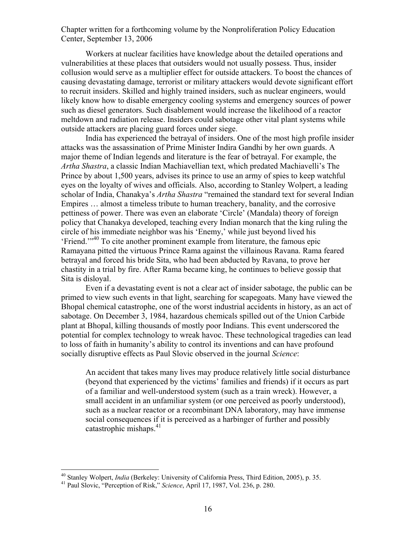Workers at nuclear facilities have knowledge about the detailed operations and vulnerabilities at these places that outsiders would not usually possess. Thus, insider collusion would serve as a multiplier effect for outside attackers. To boost the chances of causing devastating damage, terrorist or military attackers would devote significant effort to recruit insiders. Skilled and highly trained insiders, such as nuclear engineers, would likely know how to disable emergency cooling systems and emergency sources of power such as diesel generators. Such disablement would increase the likelihood of a reactor meltdown and radiation release. Insiders could sabotage other vital plant systems while outside attackers are placing guard forces under siege.

 India has experienced the betrayal of insiders. One of the most high profile insider attacks was the assassination of Prime Minister Indira Gandhi by her own guards. A major theme of Indian legends and literature is the fear of betrayal. For example, the *Artha Shastra*, a classic Indian Machiavellian text, which predated Machiavelli's The Prince by about 1,500 years, advises its prince to use an army of spies to keep watchful eyes on the loyalty of wives and officials. Also, according to Stanley Wolpert, a leading scholar of India, Chanakya's *Artha Shastra* "remained the standard text for several Indian Empires … almost a timeless tribute to human treachery, banality, and the corrosive pettiness of power. There was even an elaborate 'Circle' (Mandala) theory of foreign policy that Chanakya developed, teaching every Indian monarch that the king ruling the circle of his immediate neighbor was his 'Enemy,' while just beyond lived his 'Friend.'"40 To cite another prominent example from literature, the famous epic Ramayana pitted the virtuous Prince Rama against the villainous Ravana. Rama feared betrayal and forced his bride Sita, who had been abducted by Ravana, to prove her chastity in a trial by fire. After Rama became king, he continues to believe gossip that Sita is disloyal.

Even if a devastating event is not a clear act of insider sabotage, the public can be primed to view such events in that light, searching for scapegoats. Many have viewed the Bhopal chemical catastrophe, one of the worst industrial accidents in history, as an act of sabotage. On December 3, 1984, hazardous chemicals spilled out of the Union Carbide plant at Bhopal, killing thousands of mostly poor Indians. This event underscored the potential for complex technology to wreak havoc. These technological tragedies can lead to loss of faith in humanity's ability to control its inventions and can have profound socially disruptive effects as Paul Slovic observed in the journal *Science*:

An accident that takes many lives may produce relatively little social disturbance (beyond that experienced by the victims' families and friends) if it occurs as part of a familiar and well-understood system (such as a train wreck). However, a small accident in an unfamiliar system (or one perceived as poorly understood), such as a nuclear reactor or a recombinant DNA laboratory, may have immense social consequences if it is perceived as a harbinger of further and possibly catastrophic mishaps. $41$ 

<sup>&</sup>lt;sup>40</sup> Stanley Wolpert, *India* (Berkeley: University of California Press, Third Edition, 2005), p. 35. <sup>41</sup> Paul Slovic, "Perception of Risk," *Science*, April 17, 1987, Vol. 236, p. 280.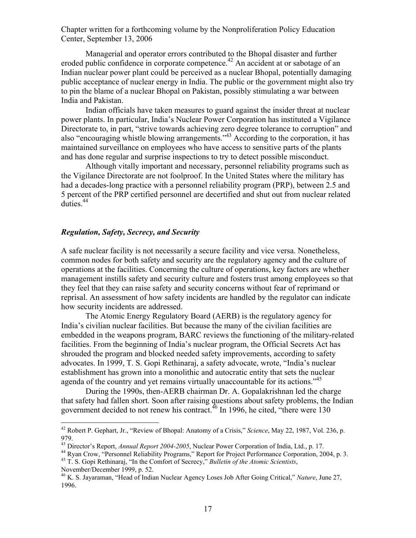Managerial and operator errors contributed to the Bhopal disaster and further eroded public confidence in corporate competence.<sup>42</sup> An accident at or sabotage of an Indian nuclear power plant could be perceived as a nuclear Bhopal, potentially damaging public acceptance of nuclear energy in India. The public or the government might also try to pin the blame of a nuclear Bhopal on Pakistan, possibly stimulating a war between India and Pakistan.

 Indian officials have taken measures to guard against the insider threat at nuclear power plants. In particular, India's Nuclear Power Corporation has instituted a Vigilance Directorate to, in part, "strive towards achieving zero degree tolerance to corruption" and also "encouraging whistle blowing arrangements."43 According to the corporation, it has maintained surveillance on employees who have access to sensitive parts of the plants and has done regular and surprise inspections to try to detect possible misconduct.

Although vitally important and necessary, personnel reliability programs such as the Vigilance Directorate are not foolproof. In the United States where the military has had a decades-long practice with a personnel reliability program (PRP), between 2.5 and 5 percent of the PRP certified personnel are decertified and shut out from nuclear related duties. $44$ 

# *Regulation, Safety, Secrecy, and Security*

 $\overline{a}$ 

A safe nuclear facility is not necessarily a secure facility and vice versa. Nonetheless, common nodes for both safety and security are the regulatory agency and the culture of operations at the facilities. Concerning the culture of operations, key factors are whether management instills safety and security culture and fosters trust among employees so that they feel that they can raise safety and security concerns without fear of reprimand or reprisal. An assessment of how safety incidents are handled by the regulator can indicate how security incidents are addressed.

The Atomic Energy Regulatory Board (AERB) is the regulatory agency for India's civilian nuclear facilities. But because the many of the civilian facilities are embedded in the weapons program, BARC reviews the functioning of the military-related facilities. From the beginning of India's nuclear program, the Official Secrets Act has shrouded the program and blocked needed safety improvements, according to safety advocates. In 1999, T. S. Gopi Rethinaraj, a safety advocate, wrote, "India's nuclear establishment has grown into a monolithic and autocratic entity that sets the nuclear agenda of the country and yet remains virtually unaccountable for its actions."<sup>45</sup>

During the 1990s, then-AERB chairman Dr. A. Gopalakrishnan led the charge that safety had fallen short. Soon after raising questions about safety problems, the Indian government decided to not renew his contract.<sup>46</sup> In 1996, he cited, "there were 130

<sup>42</sup> Robert P. Gephart, Jr., "Review of Bhopal: Anatomy of a Crisis," *Science*, May 22, 1987, Vol. 236, p. 979.<br><sup>43</sup> Director's Report, *Annual Report 2004-2005*, Nuclear Power Corporation of India, Ltd., p. 17.

<sup>&</sup>lt;sup>44</sup> Ryan Crow, "Personnel Reliability Programs," Report for Project Performance Corporation, 2004, p. 3.<br><sup>45</sup> T. S. Gopi Rethinaraj, "In the Comfort of Secrecy," *Bulletin of the Atomic Scientists*,

November/December 1999, p. 52.

<sup>46</sup> K. S. Jayaraman, "Head of Indian Nuclear Agency Loses Job After Going Critical," *Nature*, June 27, 1996.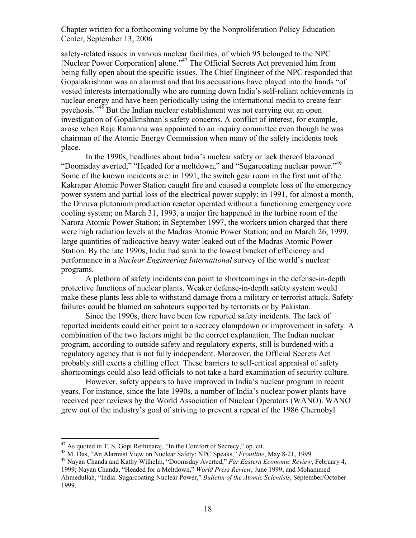safety-related issues in various nuclear facilities, of which 95 belonged to the NPC [Nuclear Power Corporation] alone."47 The Official Secrets Act prevented him from being fully open about the specific issues. The Chief Engineer of the NPC responded that Gopalakrishnan was an alarmist and that his accusations have played into the hands "of vested interests internationally who are running down India's self-reliant achievements in nuclear energy and have been periodically using the international media to create fear psychosis."<sup>48</sup> But the Indian nuclear establishment was not carrying out an open investigation of Gopalkrishnan's safety concerns. A conflict of interest, for example, arose when Raja Ramanna was appointed to an inquiry committee even though he was chairman of the Atomic Energy Commission when many of the safety incidents took place.

In the 1990s, headlines about India's nuclear safety or lack thereof blazoned "Doomsday averted," "Headed for a meltdown," and "Sugarcoating nuclear power."49 Some of the known incidents are: in 1991, the switch gear room in the first unit of the Kakrapar Atomic Power Station caught fire and caused a complete loss of the emergency power system and partial loss of the electrical power supply; in 1991, for almost a month, the Dhruva plutonium production reactor operated without a functioning emergency core cooling system; on March 31, 1993, a major fire happened in the turbine room of the Narora Atomic Power Station; in September 1997, the workers union charged that there were high radiation levels at the Madras Atomic Power Station; and on March 26, 1999, large quantities of radioactive heavy water leaked out of the Madras Atomic Power Station. By the late 1990s, India had sunk to the lowest bracket of efficiency and performance in a *Nuclear Engineering International* survey of the world's nuclear programs.

A plethora of safety incidents can point to shortcomings in the defense-in-depth protective functions of nuclear plants. Weaker defense-in-depth safety system would make these plants less able to withstand damage from a military or terrorist attack. Safety failures could be blamed on saboteurs supported by terrorists or by Pakistan.

Since the 1990s, there have been few reported safety incidents. The lack of reported incidents could either point to a secrecy clampdown or improvement in safety. A combination of the two factors might be the correct explanation. The Indian nuclear program, according to outside safety and regulatory experts, still is burdened with a regulatory agency that is not fully independent. Moreover, the Official Secrets Act probably still exerts a chilling effect. These barriers to self-critical appraisal of safety shortcomings could also lead officials to not take a hard examination of security culture.

However, safety appears to have improved in India's nuclear program in recent years. For instance, since the late 1990s, a number of India's nuclear power plants have received peer reviews by the World Association of Nuclear Operators (WANO). WANO grew out of the industry's goal of striving to prevent a repeat of the 1986 Chernobyl

1

 $47$  As quoted in T. S. Gopi Rethinaraj, "In the Comfort of Secrecy," op. cit.

<sup>&</sup>lt;sup>48</sup> M. Das, "An Alarmist View on Nuclear Safety: NPC Speaks," *Frontline*, May 8-21, 1999.<br><sup>49</sup> Nayan Chanda and Kathy Wilhelm, "Doomsday Averted," *Far Eastern Economic Review*, February 4,

<sup>1999;</sup> Nayan Chanda, "Headed for a Meltdown," *World Press Review*, June 1999; and Mohammed Ahmedullah, "India: Sugarcoating Nuclear Power," *Bulletin of the Atomic Scientists*, September/October

<sup>1999.</sup>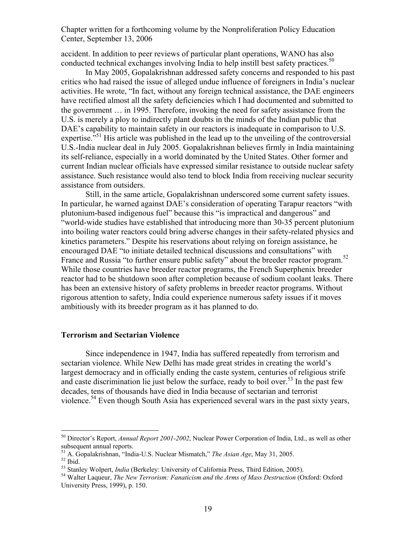accident. In addition to peer reviews of particular plant operations, WANO has also conducted technical exchanges involving India to help instill best safety practices.<sup>50</sup>

In May 2005, Gopalakrishnan addressed safety concerns and responded to his past critics who had raised the issue of alleged undue influence of foreigners in India's nuclear activities. He wrote, "In fact, without any foreign technical assistance, the DAE engineers have rectified almost all the safety deficiencies which I had documented and submitted to the government … in 1995. Therefore, invoking the need for safety assistance from the U.S. is merely a ploy to indirectly plant doubts in the minds of the Indian public that DAE's capability to maintain safety in our reactors is inadequate in comparison to U.S. expertise.<sup>"51</sup> His article was published in the lead up to the unveiling of the controversial U.S.-India nuclear deal in July 2005. Gopalakrishnan believes firmly in India maintaining its self-reliance, especially in a world dominated by the United States. Other former and current Indian nuclear officials have expressed similar resistance to outside nuclear safety assistance. Such resistance would also tend to block India from receiving nuclear security assistance from outsiders.

Still, in the same article, Gopalakrishnan underscored some current safety issues. In particular, he warned against DAE's consideration of operating Tarapur reactors "with plutonium-based indigenous fuel" because this "is impractical and dangerous" and "world-wide studies have established that introducing more than 30-35 percent plutonium into boiling water reactors could bring adverse changes in their safety-related physics and kinetics parameters." Despite his reservations about relying on foreign assistance, he encouraged DAE "to initiate detailed technical discussions and consultations" with France and Russia "to further ensure public safety" about the breeder reactor program.<sup>52</sup> While those countries have breeder reactor programs, the French Superphenix breeder reactor had to be shutdown soon after completion because of sodium coolant leaks. There has been an extensive history of safety problems in breeder reactor programs. Without rigorous attention to safety, India could experience numerous safety issues if it moves ambitiously with its breeder program as it has planned to do.

### **Terrorism and Sectarian Violence**

 Since independence in 1947, India has suffered repeatedly from terrorism and sectarian violence. While New Delhi has made great strides in creating the world's largest democracy and in officially ending the caste system, centuries of religious strife and caste discrimination lie just below the surface, ready to boil over.<sup>53</sup> In the past few decades, tens of thousands have died in India because of sectarian and terrorist violence.<sup>54</sup> Even though South Asia has experienced several wars in the past sixty years,

<sup>50</sup> Director's Report, *Annual Report 2001-2002*, Nuclear Power Corporation of India, Ltd., as well as other subsequent annual reports.

<sup>&</sup>lt;sup>51</sup> A. Gopalakrishnan, "India-U.S. Nuclear Mismatch," *The Asian Age*, May 31, 2005.<br><sup>52</sup> Ibid.<br><sup>53</sup> Stanley Wolpert, *India* (Berkeley: University of California Press, Third Edition, 2005).

<sup>&</sup>lt;sup>54</sup> Walter Laqueur, *The New Terrorism: Fanaticism and the Arms of Mass Destruction* (Oxford: Oxford University Press, 1999), p. 150.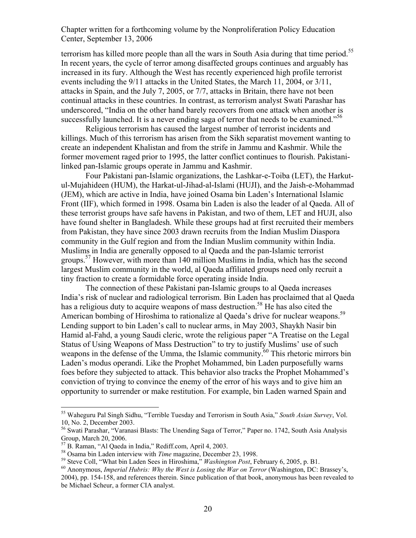terrorism has killed more people than all the wars in South Asia during that time period.<sup>55</sup> In recent years, the cycle of terror among disaffected groups continues and arguably has increased in its fury. Although the West has recently experienced high profile terrorist events including the 9/11 attacks in the United States, the March 11, 2004, or 3/11, attacks in Spain, and the July 7, 2005, or 7/7, attacks in Britain, there have not been continual attacks in these countries. In contrast, as terrorism analyst Swati Parashar has underscored, "India on the other hand barely recovers from one attack when another is successfully launched. It is a never ending saga of terror that needs to be examined."<sup>56</sup>

 Religious terrorism has caused the largest number of terrorist incidents and killings. Much of this terrorism has arisen from the Sikh separatist movement wanting to create an independent Khalistan and from the strife in Jammu and Kashmir. While the former movement raged prior to 1995, the latter conflict continues to flourish. Pakistanilinked pan-Islamic groups operate in Jammu and Kashmir.

Four Pakistani pan-Islamic organizations, the Lashkar-e-Toiba (LET), the Harkutul-Mujahideen (HUM), the Harkat-ul-Jihad-al-Islami (HUJI), and the Jaish-e-Mohammad (JEM), which are active in India, have joined Osama bin Laden's International Islamic Front (IIF), which formed in 1998. Osama bin Laden is also the leader of al Qaeda. All of these terrorist groups have safe havens in Pakistan, and two of them, LET and HUJI, also have found shelter in Bangladesh. While these groups had at first recruited their members from Pakistan, they have since 2003 drawn recruits from the Indian Muslim Diaspora community in the Gulf region and from the Indian Muslim community within India. Muslims in India are generally opposed to al Qaeda and the pan-Islamic terrorist groups.<sup>57</sup> However, with more than 140 million Muslims in India, which has the second largest Muslim community in the world, al Qaeda affiliated groups need only recruit a tiny fraction to create a formidable force operating inside India.

The connection of these Pakistani pan-Islamic groups to al Qaeda increases India's risk of nuclear and radiological terrorism. Bin Laden has proclaimed that al Qaeda has a religious duty to acquire weapons of mass destruction.<sup>58</sup> He has also cited the American bombing of Hiroshima to rationalize al Qaeda's drive for nuclear weapons.<sup>59</sup> Lending support to bin Laden's call to nuclear arms, in May 2003, Shaykh Nasir bin Hamid al-Fahd, a young Saudi cleric, wrote the religious paper "A Treatise on the Legal Status of Using Weapons of Mass Destruction" to try to justify Muslims' use of such weapons in the defense of the Umma, the Islamic community.<sup>60</sup> This rhetoric mirrors bin Laden's modus operandi. Like the Prophet Mohammed, bin Laden purposefully warns foes before they subjected to attack. This behavior also tracks the Prophet Mohammed's conviction of trying to convince the enemy of the error of his ways and to give him an opportunity to surrender or make restitution. For example, bin Laden warned Spain and

<sup>55</sup> Waheguru Pal Singh Sidhu, "Terrible Tuesday and Terrorism in South Asia," *South Asian Survey*, Vol. 10, No. 2, December 2003.

<sup>56</sup> Swati Parashar, "Varanasi Blasts: The Unending Saga of Terror," Paper no. 1742, South Asia Analysis Group, March 20, 2006.

 $57$  B. Raman, "Al Qaeda in India," Rediff.com, April 4, 2003.<br> $58$  Osama bin Laden interview with *Time* magazine, December 23, 1998.

<sup>&</sup>lt;sup>59</sup> Steve Coll, "What bin Laden Sees in Hiroshima," *Washington Post*, February 6, 2005, p. B1.<br><sup>60</sup> Anonymous, *Imperial Hubris: Why the West is Losing the War on Terror* (Washington, DC: Brassey's, 2004), pp. 154-158, and references therein. Since publication of that book, anonymous has been revealed to be Michael Scheur, a former CIA analyst.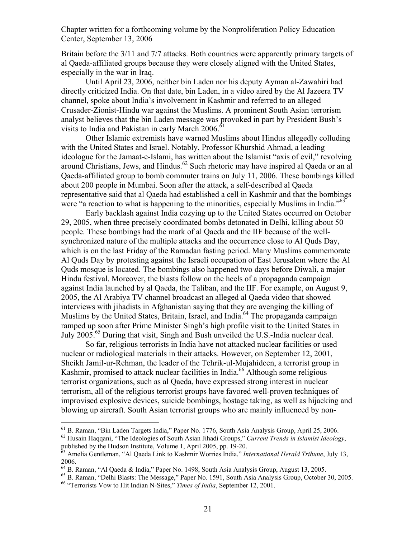Britain before the 3/11 and 7/7 attacks. Both countries were apparently primary targets of al Qaeda-affiliated groups because they were closely aligned with the United States, especially in the war in Iraq.

Until April 23, 2006, neither bin Laden nor his deputy Ayman al-Zawahiri had directly criticized India. On that date, bin Laden, in a video aired by the Al Jazeera TV channel, spoke about India's involvement in Kashmir and referred to an alleged Crusader-Zionist-Hindu war against the Muslims. A prominent South Asian terrorism analyst believes that the bin Laden message was provoked in part by President Bush's visits to India and Pakistan in early March 2006.<sup>61</sup>

Other Islamic extremists have warned Muslims about Hindus allegedly colluding with the United States and Israel. Notably, Professor Khurshid Ahmad, a leading ideologue for the Jamaat-e-Islami, has written about the Islamist "axis of evil," revolving around Christians, Jews, and Hindus.<sup>62</sup> Such rhetoric may have inspired al Qaeda or an al Qaeda-affiliated group to bomb commuter trains on July 11, 2006. These bombings killed about 200 people in Mumbai. Soon after the attack, a self-described al Qaeda representative said that al Qaeda had established a cell in Kashmir and that the bombings were "a reaction to what is happening to the minorities, especially Muslims in India."<sup>63</sup>

Early backlash against India cozying up to the United States occurred on October 29, 2005, when three precisely coordinated bombs detonated in Delhi, killing about 50 people. These bombings had the mark of al Qaeda and the IIF because of the wellsynchronized nature of the multiple attacks and the occurrence close to Al Quds Day, which is on the last Friday of the Ramadan fasting period. Many Muslims commemorate Al Quds Day by protesting against the Israeli occupation of East Jerusalem where the Al Quds mosque is located. The bombings also happened two days before Diwali, a major Hindu festival. Moreover, the blasts follow on the heels of a propaganda campaign against India launched by al Qaeda, the Taliban, and the IIF. For example, on August 9, 2005, the Al Arabiya TV channel broadcast an alleged al Qaeda video that showed interviews with jihadists in Afghanistan saying that they are avenging the killing of Muslims by the United States, Britain, Israel, and India.<sup>64</sup> The propaganda campaign ramped up soon after Prime Minister Singh's high profile visit to the United States in July 2005.65 During that visit, Singh and Bush unveiled the U.S.-India nuclear deal.

 So far, religious terrorists in India have not attacked nuclear facilities or used nuclear or radiological materials in their attacks. However, on September 12, 2001, Sheikh Jamil-ur-Rehman, the leader of the Tehrik-ul-Mujahideen, a terrorist group in Kashmir, promised to attack nuclear facilities in India.<sup>66</sup> Although some religious terrorist organizations, such as al Qaeda, have expressed strong interest in nuclear terrorism, all of the religious terrorist groups have favored well-proven techniques of improvised explosive devices, suicide bombings, hostage taking, as well as hijacking and blowing up aircraft. South Asian terrorist groups who are mainly influenced by non-

<sup>&</sup>lt;sup>61</sup> B. Raman, "Bin Laden Targets India," Paper No. 1776, South Asia Analysis Group, April 25, 2006.

<sup>&</sup>lt;sup>62</sup> Husain Haqqani, "The Ideologies of South Asian Jihadi Groups," *Current Trends in Islamist Ideology*, published by the Hudson Institute, Volume 1, April 2005, pp. 19-20.

<sup>63</sup> Amelia Gentleman, "Al Qaeda Link to Kashmir Worries India," *International Herald Tribune*, July 13, 2006.

<sup>64</sup> B. Raman, "Al Qaeda & India," Paper No. 1498, South Asia Analysis Group, August 13, 2005.

<sup>65</sup> B. Raman, "Delhi Blasts: The Message," Paper No. 1591, South Asia Analysis Group, October 30, 2005.

<sup>66 &</sup>quot;Terrorists Vow to Hit Indian N-Sites," *Times of India*, September 12, 2001.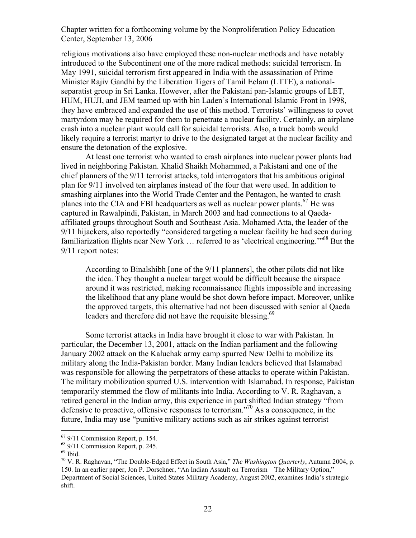religious motivations also have employed these non-nuclear methods and have notably introduced to the Subcontinent one of the more radical methods: suicidal terrorism. In May 1991, suicidal terrorism first appeared in India with the assassination of Prime Minister Rajiv Gandhi by the Liberation Tigers of Tamil Eelam (LTTE), a nationalseparatist group in Sri Lanka. However, after the Pakistani pan-Islamic groups of LET, HUM, HUJI, and JEM teamed up with bin Laden's International Islamic Front in 1998, they have embraced and expanded the use of this method. Terrorists' willingness to covet martyrdom may be required for them to penetrate a nuclear facility. Certainly, an airplane crash into a nuclear plant would call for suicidal terrorists. Also, a truck bomb would likely require a terrorist martyr to drive to the designated target at the nuclear facility and ensure the detonation of the explosive.

 At least one terrorist who wanted to crash airplanes into nuclear power plants had lived in neighboring Pakistan. Khalid Shaikh Mohammed, a Pakistani and one of the chief planners of the 9/11 terrorist attacks, told interrogators that his ambitious original plan for 9/11 involved ten airplanes instead of the four that were used. In addition to smashing airplanes into the World Trade Center and the Pentagon, he wanted to crash planes into the CIA and FBI headquarters as well as nuclear power plants.<sup>67</sup> He was captured in Rawalpindi, Pakistan, in March 2003 and had connections to al Qaedaaffiliated groups throughout South and Southeast Asia. Mohamed Atta, the leader of the 9/11 hijackers, also reportedly "considered targeting a nuclear facility he had seen during familiarization flights near New York … referred to as 'electrical engineering.'"68 But the 9/11 report notes:

According to Binalshibh [one of the 9/11 planners], the other pilots did not like the idea. They thought a nuclear target would be difficult because the airspace around it was restricted, making reconnaissance flights impossible and increasing the likelihood that any plane would be shot down before impact. Moreover, unlike the approved targets, this alternative had not been discussed with senior al Qaeda leaders and therefore did not have the requisite blessing.<sup>69</sup>

 Some terrorist attacks in India have brought it close to war with Pakistan. In particular, the December 13, 2001, attack on the Indian parliament and the following January 2002 attack on the Kaluchak army camp spurred New Delhi to mobilize its military along the India-Pakistan border. Many Indian leaders believed that Islamabad was responsible for allowing the perpetrators of these attacks to operate within Pakistan. The military mobilization spurred U.S. intervention with Islamabad. In response, Pakistan temporarily stemmed the flow of militants into India. According to V. R. Raghavan, a retired general in the Indian army, this experience in part shifted Indian strategy "from defensive to proactive, offensive responses to terrorism."70 As a consequence, in the future, India may use "punitive military actions such as air strikes against terrorist

 $67$  9/11 Commission Report, p. 154.

<sup>68 9/11</sup> Commission Report, p. 245.

 $69$  Ibid.

<sup>70</sup> V. R. Raghavan, "The Double-Edged Effect in South Asia," *The Washington Quarterly*, Autumn 2004, p. 150. In an earlier paper, Jon P. Dorschner, "An Indian Assault on Terrorism—The Military Option," Department of Social Sciences, United States Military Academy, August 2002, examines India's strategic shift.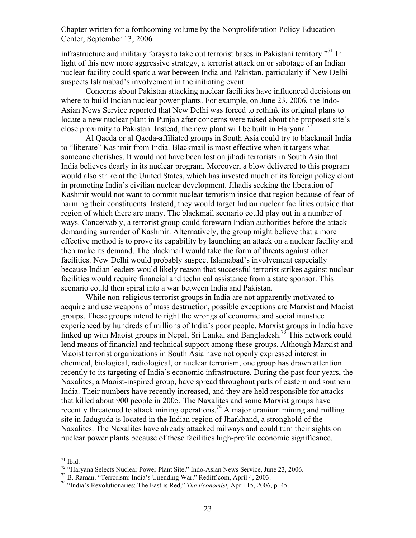infrastructure and military forays to take out terrorist bases in Pakistani territory."71 In light of this new more aggressive strategy, a terrorist attack on or sabotage of an Indian nuclear facility could spark a war between India and Pakistan, particularly if New Delhi suspects Islamabad's involvement in the initiating event.

Concerns about Pakistan attacking nuclear facilities have influenced decisions on where to build Indian nuclear power plants. For example, on June 23, 2006, the Indo-Asian News Service reported that New Delhi was forced to rethink its original plans to locate a new nuclear plant in Punjab after concerns were raised about the proposed site's close proximity to Pakistan. Instead, the new plant will be built in Haryana.<sup>7</sup>

 Al Qaeda or al Qaeda-affiliated groups in South Asia could try to blackmail India to "liberate" Kashmir from India. Blackmail is most effective when it targets what someone cherishes. It would not have been lost on jihadi terrorists in South Asia that India believes dearly in its nuclear program. Moreover, a blow delivered to this program would also strike at the United States, which has invested much of its foreign policy clout in promoting India's civilian nuclear development. Jihadis seeking the liberation of Kashmir would not want to commit nuclear terrorism inside that region because of fear of harming their constituents. Instead, they would target Indian nuclear facilities outside that region of which there are many. The blackmail scenario could play out in a number of ways. Conceivably, a terrorist group could forewarn Indian authorities before the attack demanding surrender of Kashmir. Alternatively, the group might believe that a more effective method is to prove its capability by launching an attack on a nuclear facility and then make its demand. The blackmail would take the form of threats against other facilities. New Delhi would probably suspect Islamabad's involvement especially because Indian leaders would likely reason that successful terrorist strikes against nuclear facilities would require financial and technical assistance from a state sponsor. This scenario could then spiral into a war between India and Pakistan.

 While non-religious terrorist groups in India are not apparently motivated to acquire and use weapons of mass destruction, possible exceptions are Marxist and Maoist groups. These groups intend to right the wrongs of economic and social injustice experienced by hundreds of millions of India's poor people. Marxist groups in India have linked up with Maoist groups in Nepal, Sri Lanka, and Bangladesh.<sup>73</sup> This network could lend means of financial and technical support among these groups. Although Marxist and Maoist terrorist organizations in South Asia have not openly expressed interest in chemical, biological, radiological, or nuclear terrorism, one group has drawn attention recently to its targeting of India's economic infrastructure. During the past four years, the Naxalites, a Maoist-inspired group, have spread throughout parts of eastern and southern India. Their numbers have recently increased, and they are held responsible for attacks that killed about 900 people in 2005. The Naxalites and some Marxist groups have recently threatened to attack mining operations.74 A major uranium mining and milling site in Jaduguda is located in the Indian region of Jharkhand, a stronghold of the Naxalites. The Naxalites have already attacked railways and could turn their sights on nuclear power plants because of these facilities high-profile economic significance.

<u>.</u>

 $71$  Ibid.

<sup>&</sup>lt;sup>72</sup> "Haryana Selects Nuclear Power Plant Site," Indo-Asian News Service, June 23, 2006.<br><sup>73</sup> B. Raman, "Terrorism: India's Unending War," Rediff.com, April 4, 2003.

<sup>74 &</sup>quot;India's Revolutionaries: The East is Red," *The Economist*, April 15, 2006, p. 45.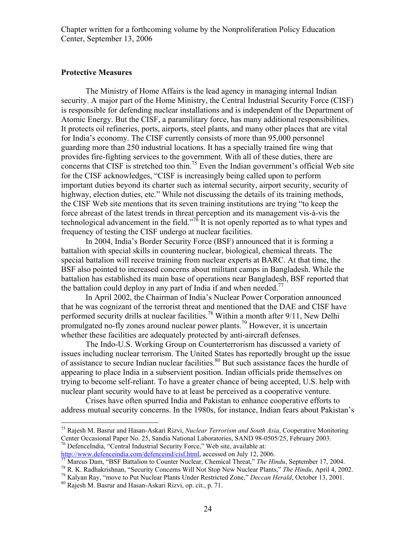## **Protective Measures**

The Ministry of Home Affairs is the lead agency in managing internal Indian security. A major part of the Home Ministry, the Central Industrial Security Force (CISF) is responsible for defending nuclear installations and is independent of the Department of Atomic Energy. But the CISF, a paramilitary force, has many additional responsibilities. It protects oil refineries, ports, airports, steel plants, and many other places that are vital for India's economy. The CISF currently consists of more than 95,000 personnel guarding more than 250 industrial locations. It has a specially trained fire wing that provides fire-fighting services to the government. With all of these duties, there are concerns that CISF is stretched too thin.<sup>75</sup> Even the Indian government's official Web site for the CISF acknowledges, "CISF is increasingly being called upon to perform important duties beyond its charter such as internal security, airport security, security of highway, election duties, etc." While not discussing the details of its training methods, the CISF Web site mentions that its seven training institutions are trying "to keep the force abreast of the latest trends in threat perception and its management vis-à-vis the technological advancement in the field.<sup> $\frac{7}{6}$ </sup> It is not openly reported as to what types and frequency of testing the CISF undergo at nuclear facilities.

In 2004, India's Border Security Force (BSF) announced that it is forming a battalion with special skills in countering nuclear, biological, chemical threats. The special battalion will receive training from nuclear experts at BARC. At that time, the BSF also pointed to increased concerns about militant camps in Bangladesh. While the battalion has established its main base of operations near Bangladesh, BSF reported that the battalion could deploy in any part of India if and when needed.<sup>77</sup>

In April 2002, the Chairman of India's Nuclear Power Corporation announced that he was cognizant of the terrorist threat and mentioned that the DAE and CISF have performed security drills at nuclear facilities.<sup>78</sup> Within a month after 9/11, New Delhi promulgated no-fly zones around nuclear power plants.<sup>79</sup> However, it is uncertain whether these facilities are adequately protected by anti-aircraft defenses.

 The Indo-U.S. Working Group on Counterterrorism has discussed a variety of issues including nuclear terrorism. The United States has reportedly brought up the issue of assistance to secure Indian nuclear facilities.<sup>80</sup> But such assistance faces the hurdle of appearing to place India in a subservient position. Indian officials pride themselves on trying to become self-reliant. To have a greater chance of being accepted, U.S. help with nuclear plant security would have to at least be perceived as a cooperative venture.

 Crises have often spurred India and Pakistan to enhance cooperative efforts to address mutual security concerns. In the 1980s, for instance, Indian fears about Pakistan's

<sup>75</sup> Rajesh M. Basrur and Hasan-Askari Rizvi, *Nuclear Terrorism and South Asia*, Cooperative Monitoring Center Occasional Paper No. 25, Sandia National Laboratories, SAND 98-0505/25, February 2003.<br><sup>76</sup> DefenceIndia, "Central Industrial Security Force," Web site, available at:

http://www.defenceindia.com/defenceind/cisf.html, accessed on July 12, 2006.<br>
<sup>77</sup> Marcus Dam, "BSF Battalion to Counter Nuclear, Chemical Threat," *The Hindu*, September 17, 2004.<br>
<sup>78</sup> R. K. Radhakrishnan, "Security Con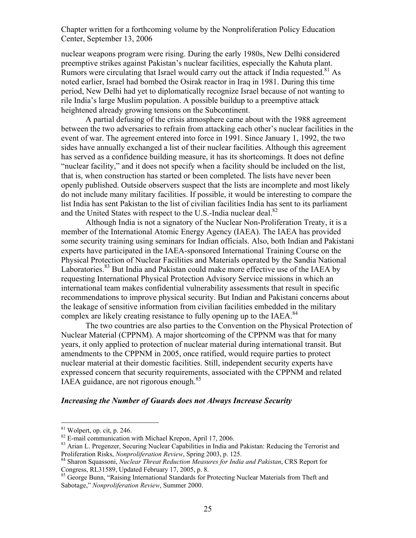nuclear weapons program were rising. During the early 1980s, New Delhi considered preemptive strikes against Pakistan's nuclear facilities, especially the Kahuta plant. Rumors were circulating that Israel would carry out the attack if India requested.<sup>81</sup> As noted earlier, Israel had bombed the Osirak reactor in Iraq in 1981. During this time period, New Delhi had yet to diplomatically recognize Israel because of not wanting to rile India's large Muslim population. A possible buildup to a preemptive attack heightened already growing tensions on the Subcontinent.

A partial defusing of the crisis atmosphere came about with the 1988 agreement between the two adversaries to refrain from attacking each other's nuclear facilities in the event of war. The agreement entered into force in 1991. Since January 1, 1992, the two sides have annually exchanged a list of their nuclear facilities. Although this agreement has served as a confidence building measure, it has its shortcomings. It does not define "nuclear facility," and it does not specify when a facility should be included on the list, that is, when construction has started or been completed. The lists have never been openly published. Outside observers suspect that the lists are incomplete and most likely do not include many military facilities. If possible, it would be interesting to compare the list India has sent Pakistan to the list of civilian facilities India has sent to its parliament and the United States with respect to the U.S.-India nuclear deal.<sup>82</sup>

 Although India is not a signatory of the Nuclear Non-Proliferation Treaty, it is a member of the International Atomic Energy Agency (IAEA). The IAEA has provided some security training using seminars for Indian officials. Also, both Indian and Pakistani experts have participated in the IAEA-sponsored International Training Course on the Physical Protection of Nuclear Facilities and Materials operated by the Sandia National Laboratories.<sup>83</sup> But India and Pakistan could make more effective use of the IAEA by requesting International Physical Protection Advisory Service missions in which an international team makes confidential vulnerability assessments that result in specific recommendations to improve physical security. But Indian and Pakistani concerns about the leakage of sensitive information from civilian facilities embedded in the military complex are likely creating resistance to fully opening up to the IAEA. $^{84}$ 

The two countries are also parties to the Convention on the Physical Protection of Nuclear Material (CPPNM). A major shortcoming of the CPPNM was that for many years, it only applied to protection of nuclear material during international transit. But amendments to the CPPNM in 2005, once ratified, would require parties to protect nuclear material at their domestic facilities. Still, independent security experts have expressed concern that security requirements, associated with the CPPNM and related IAEA guidance, are not rigorous enough.<sup>85</sup>

### *Increasing the Number of Guards does not Always Increase Security*

 $81$  Wolpert, op. cit, p. 246.

<sup>&</sup>lt;sup>82</sup> E-mail communication with Michael Krepon, April 17, 2006.

<sup>83</sup> Arian L. Pregenzer, Securing Nuclear Capabilities in India and Pakistan: Reducing the Terrorist and Proliferation Risks, *Nonproliferation Review*, Spring 2003, p. 125. 84 Sharon Squassoni, *Nuclear Threat Reduction Measures for India and Pakistan*, CRS Report for

Congress, RL31589, Updated February 17, 2005, p. 8.

<sup>&</sup>lt;sup>85</sup> George Bunn, "Raising International Standards for Protecting Nuclear Materials from Theft and Sabotage," *Nonproliferation Review*, Summer 2000.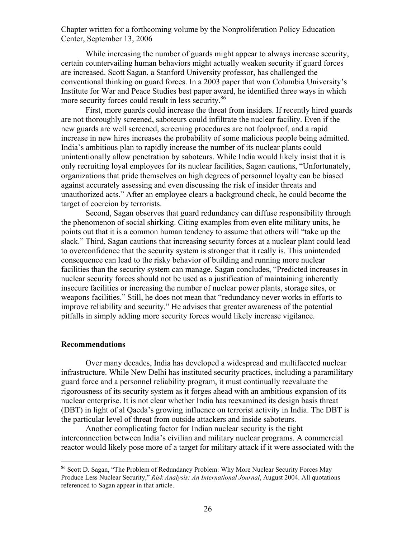While increasing the number of guards might appear to always increase security, certain countervailing human behaviors might actually weaken security if guard forces are increased. Scott Sagan, a Stanford University professor, has challenged the conventional thinking on guard forces. In a 2003 paper that won Columbia University's Institute for War and Peace Studies best paper award, he identified three ways in which more security forces could result in less security.<sup>86</sup>

First, more guards could increase the threat from insiders. If recently hired guards are not thoroughly screened, saboteurs could infiltrate the nuclear facility. Even if the new guards are well screened, screening procedures are not foolproof, and a rapid increase in new hires increases the probability of some malicious people being admitted. India's ambitious plan to rapidly increase the number of its nuclear plants could unintentionally allow penetration by saboteurs. While India would likely insist that it is only recruiting loyal employees for its nuclear facilities, Sagan cautions, "Unfortunately, organizations that pride themselves on high degrees of personnel loyalty can be biased against accurately assessing and even discussing the risk of insider threats and unauthorized acts." After an employee clears a background check, he could become the target of coercion by terrorists.

Second, Sagan observes that guard redundancy can diffuse responsibility through the phenomenon of social shirking. Citing examples from even elite military units, he points out that it is a common human tendency to assume that others will "take up the slack." Third, Sagan cautions that increasing security forces at a nuclear plant could lead to overconfidence that the security system is stronger that it really is. This unintended consequence can lead to the risky behavior of building and running more nuclear facilities than the security system can manage. Sagan concludes, "Predicted increases in nuclear security forces should not be used as a justification of maintaining inherently insecure facilities or increasing the number of nuclear power plants, storage sites, or weapons facilities." Still, he does not mean that "redundancy never works in efforts to improve reliability and security." He advises that greater awareness of the potential pitfalls in simply adding more security forces would likely increase vigilance.

### **Recommendations**

 $\overline{a}$ 

 Over many decades, India has developed a widespread and multifaceted nuclear infrastructure. While New Delhi has instituted security practices, including a paramilitary guard force and a personnel reliability program, it must continually reevaluate the rigorousness of its security system as it forges ahead with an ambitious expansion of its nuclear enterprise. It is not clear whether India has reexamined its design basis threat (DBT) in light of al Qaeda's growing influence on terrorist activity in India. The DBT is the particular level of threat from outside attackers and inside saboteurs.

Another complicating factor for Indian nuclear security is the tight interconnection between India's civilian and military nuclear programs. A commercial reactor would likely pose more of a target for military attack if it were associated with the

<sup>86</sup> Scott D. Sagan, "The Problem of Redundancy Problem: Why More Nuclear Security Forces May Produce Less Nuclear Security," *Risk Analysis: An International Journal*, August 2004. All quotations referenced to Sagan appear in that article.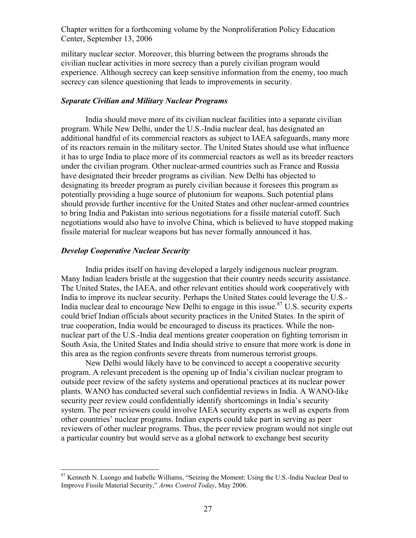military nuclear sector. Moreover, this blurring between the programs shrouds the civilian nuclear activities in more secrecy than a purely civilian program would experience. Although secrecy can keep sensitive information from the enemy, too much secrecy can silence questioning that leads to improvements in security.

# *Separate Civilian and Military Nuclear Programs*

India should move more of its civilian nuclear facilities into a separate civilian program. While New Delhi, under the U.S.-India nuclear deal, has designated an additional handful of its commercial reactors as subject to IAEA safeguards, many more of its reactors remain in the military sector. The United States should use what influence it has to urge India to place more of its commercial reactors as well as its breeder reactors under the civilian program. Other nuclear-armed countries such as France and Russia have designated their breeder programs as civilian. New Delhi has objected to designating its breeder program as purely civilian because it foresees this program as potentially providing a huge source of plutonium for weapons. Such potential plans should provide further incentive for the United States and other nuclear-armed countries to bring India and Pakistan into serious negotiations for a fissile material cutoff. Such negotiations would also have to involve China, which is believed to have stopped making fissile material for nuclear weapons but has never formally announced it has.

# *Develop Cooperative Nuclear Security*

 $\overline{a}$ 

 India prides itself on having developed a largely indigenous nuclear program. Many Indian leaders bristle at the suggestion that their country needs security assistance. The United States, the IAEA, and other relevant entities should work cooperatively with India to improve its nuclear security. Perhaps the United States could leverage the U.S.- India nuclear deal to encourage New Delhi to engage in this issue.<sup>87</sup> U.S. security experts could brief Indian officials about security practices in the United States. In the spirit of true cooperation, India would be encouraged to discuss its practices. While the nonnuclear part of the U.S.-India deal mentions greater cooperation on fighting terrorism in South Asia, the United States and India should strive to ensure that more work is done in this area as the region confronts severe threats from numerous terrorist groups.

 New Delhi would likely have to be convinced to accept a cooperative security program. A relevant precedent is the opening up of India's civilian nuclear program to outside peer review of the safety systems and operational practices at its nuclear power plants. WANO has conducted several such confidential reviews in India. A WANO-like security peer review could confidentially identify shortcomings in India's security system. The peer reviewers could involve IAEA security experts as well as experts from other countries' nuclear programs. Indian experts could take part in serving as peer reviewers of other nuclear programs. Thus, the peer review program would not single out a particular country but would serve as a global network to exchange best security

<sup>&</sup>lt;sup>87</sup> Kenneth N. Luongo and Isabelle Williams, "Seizing the Moment: Using the U.S.-India Nuclear Deal to Improve Fissile Material Security," *Arms Control Today*, May 2006.